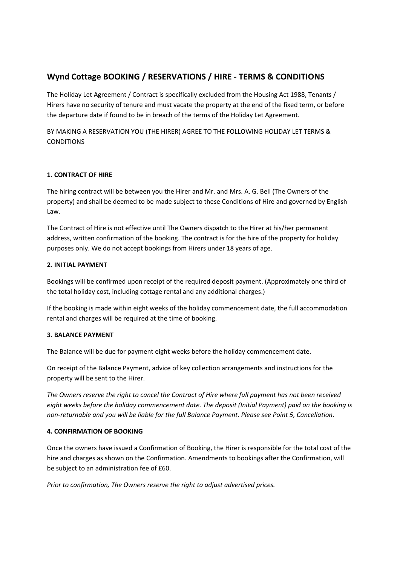# **Wynd Cottage BOOKING / RESERVATIONS / HIRE ‐ TERMS & CONDITIONS**

The Holiday Let Agreement / Contract is specifically excluded from the Housing Act 1988, Tenants / Hirers have no security of tenure and must vacate the property at the end of the fixed term, or before the departure date if found to be in breach of the terms of the Holiday Let Agreement.

BY MAKING A RESERVATION YOU (THE HIRER) AGREE TO THE FOLLOWING HOLIDAY LET TERMS & **CONDITIONS** 

# **1. CONTRACT OF HIRE**

The hiring contract will be between you the Hirer and Mr. and Mrs. A. G. Bell (The Owners of the property) and shall be deemed to be made subject to these Conditions of Hire and governed by English Law.

The Contract of Hire is not effective until The Owners dispatch to the Hirer at his/her permanent address, written confirmation of the booking. The contract is for the hire of the property for holiday purposes only. We do not accept bookings from Hirers under 18 years of age.

## **2. INITIAL PAYMENT**

Bookings will be confirmed upon receipt of the required deposit payment. (Approximately one third of the total holiday cost, including cottage rental and any additional charges.)

If the booking is made within eight weeks of the holiday commencement date, the full accommodation rental and charges will be required at the time of booking.

## **3. BALANCE PAYMENT**

The Balance will be due for payment eight weeks before the holiday commencement date.

On receipt of the Balance Payment, advice of key collection arrangements and instructions for the property will be sent to the Hirer.

The Owners reserve the right to cancel the Contract of Hire where full payment has not been received *eight weeks before the holiday commencement date. The deposit (Initial Payment) paid on the booking is* non-returnable and you will be liable for the full Balance Payment. Please see Point 5, Cancellation.

## **4. CONFIRMATION OF BOOKING**

Once the owners have issued a Confirmation of Booking, the Hirer is responsible for the total cost of the hire and charges as shown on the Confirmation. Amendments to bookings after the Confirmation, will be subject to an administration fee of £60.

*Prior to confirmation, The Owners reserve the right to adjust advertised prices.*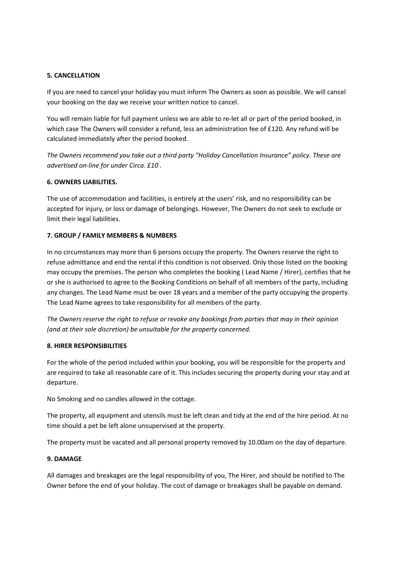## **5. CANCELLATION**

If you are need to cancel your holiday you must inform The Owners as soon as possible. We will cancel your booking on the day we receive your written notice to cancel.

You will remain liable for full payment unless we are able to re-let all or part of the period booked, in which case The Owners will consider a refund, less an administration fee of £120. Any refund will be calculated immediately after the period booked.

*The Owners recommend you take out a third party "Holiday Cancellation Insurance" policy. These are advertised on‐line for under Circa. £10 .*

#### **6. OWNERS LIABILITIES.**

The use of accommodation and facilities, is entirely at the users' risk, and no responsibility can be accepted for injury, or loss or damage of belongings. However, The Owners do not seek to exclude or limit their legal liabilities.

#### **7. GROUP / FAMILY MEMBERS & NUMBERS**

In no circumstances may more than 6 persons occupy the property. The Owners reserve the right to refuse admittance and end the rental if this condition is not observed. Only those listed on the booking may occupy the premises. The person who completes the booking ( Lead Name / Hirer), certifies that he or she is authorised to agree to the Booking Conditions on behalf of all members of the party, including any changes. The Lead Name must be over 18 years and a member of the party occupying the property. The Lead Name agrees to take responsibility for all members of the party.

The Owners reserve the right to refuse or revoke any bookings from parties that may in their opinion *(and at their sole discretion) be unsuitable for the property concerned.*

#### **8. HIRER RESPONSIBILITIES**

For the whole of the period included within your booking, you will be responsible for the property and are required to take all reasonable care of it. This includes securing the property during your stay and at departure.

No Smoking and no candles allowed in the cottage.

The property, all equipment and utensils must be left clean and tidy at the end of the hire period. At no time should a pet be left alone unsupervised at the property.

The property must be vacated and all personal property removed by 10.00am on the day of departure.

#### **9. DAMAGE**

All damages and breakages are the legal responsibility of you, The Hirer, and should be notified to The Owner before the end of your holiday. The cost of damage or breakages shall be payable on demand.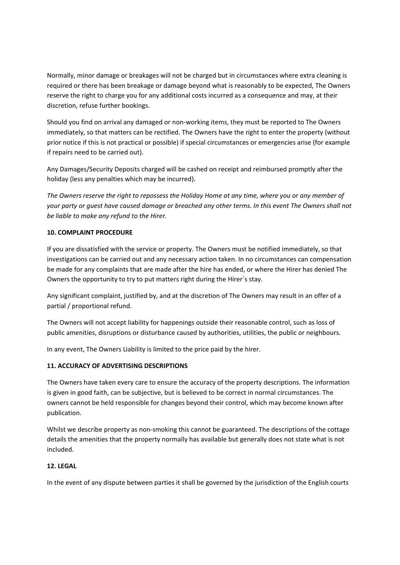Normally, minor damage or breakages will not be charged but in circumstances where extra cleaning is required or there has been breakage or damage beyond what is reasonably to be expected, The Owners reserve the right to charge you for any additional costs incurred as a consequence and may, at their discretion, refuse further bookings.

Should you find on arrival any damaged or non-working items, they must be reported to The Owners immediately, so that matters can be rectified. The Owners have the right to enter the property (without prior notice if this is not practical or possible) if special circumstances or emergencies arise (for example if repairs need to be carried out).

Any Damages/Security Deposits charged will be cashed on receipt and reimbursed promptly after the holiday (less any penalties which may be incurred).

The Owners reserve the right to repossess the Holiday Home at any time, where you or any member of your party or quest have caused damage or breached any other terms. In this event The Owners shall not *be liable to make any refund to the Hirer.*

## **10. COMPLAINT PROCEDURE**

If you are dissatisfied with the service or property. The Owners must be notified immediately, so that investigations can be carried out and any necessary action taken. In no circumstances can compensation be made for any complaints that are made after the hire has ended, or where the Hirer has denied The Owners the opportunity to try to put matters right during the Hirer´s stay.

Any significant complaint, justified by, and at the discretion of The Owners may result in an offer of a partial / proportional refund.

The Owners will not accept liability for happenings outside their reasonable control, such as loss of public amenities, disruptions or disturbance caused by authorities, utilities, the public or neighbours.

In any event, The Owners Liability is limited to the price paid by the hirer.

## **11. ACCURACY OF ADVERTISING DESCRIPTIONS**

The Owners have taken every care to ensure the accuracy of the property descriptions. The information is given in good faith, can be subjective, but is believed to be correct in normal circumstances. The owners cannot be held responsible for changes beyond their control, which may become known after publication.

Whilst we describe property as non-smoking this cannot be guaranteed. The descriptions of the cottage details the amenities that the property normally has available but generally does not state what is not included.

# **12. LEGAL**

In the event of any dispute between parties it shall be governed by the jurisdiction of the English courts